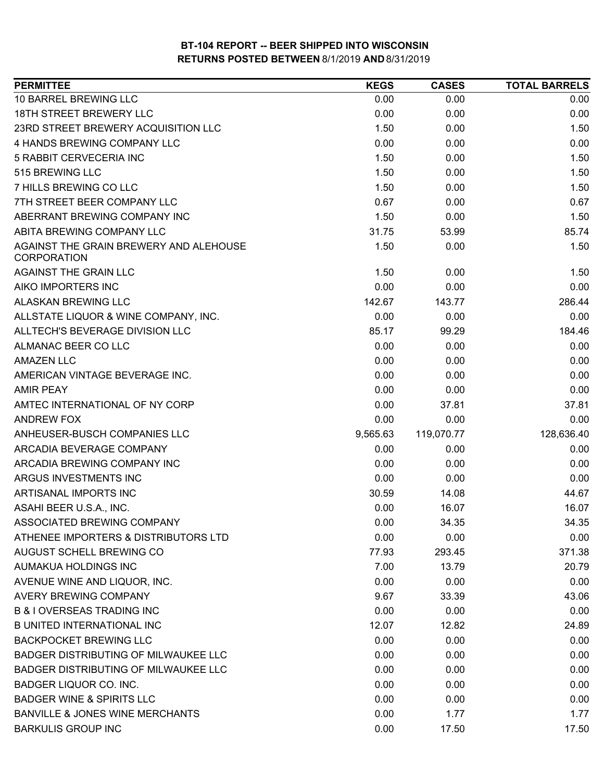| <b>PERMITTEE</b>                                             | <b>KEGS</b> | <b>CASES</b> | <b>TOTAL BARRELS</b> |
|--------------------------------------------------------------|-------------|--------------|----------------------|
| 10 BARREL BREWING LLC                                        | 0.00        | 0.00         | 0.00                 |
| 18TH STREET BREWERY LLC                                      | 0.00        | 0.00         | 0.00                 |
| 23RD STREET BREWERY ACQUISITION LLC                          | 1.50        | 0.00         | 1.50                 |
| 4 HANDS BREWING COMPANY LLC                                  | 0.00        | 0.00         | 0.00                 |
| 5 RABBIT CERVECERIA INC                                      | 1.50        | 0.00         | 1.50                 |
| 515 BREWING LLC                                              | 1.50        | 0.00         | 1.50                 |
| 7 HILLS BREWING CO LLC                                       | 1.50        | 0.00         | 1.50                 |
| 7TH STREET BEER COMPANY LLC                                  | 0.67        | 0.00         | 0.67                 |
| ABERRANT BREWING COMPANY INC                                 | 1.50        | 0.00         | 1.50                 |
| ABITA BREWING COMPANY LLC                                    | 31.75       | 53.99        | 85.74                |
| AGAINST THE GRAIN BREWERY AND ALEHOUSE<br><b>CORPORATION</b> | 1.50        | 0.00         | 1.50                 |
| AGAINST THE GRAIN LLC                                        | 1.50        | 0.00         | 1.50                 |
| AIKO IMPORTERS INC                                           | 0.00        | 0.00         | 0.00                 |
| ALASKAN BREWING LLC                                          | 142.67      | 143.77       | 286.44               |
| ALLSTATE LIQUOR & WINE COMPANY, INC.                         | 0.00        | 0.00         | 0.00                 |
| ALLTECH'S BEVERAGE DIVISION LLC                              | 85.17       | 99.29        | 184.46               |
| ALMANAC BEER CO LLC                                          | 0.00        | 0.00         | 0.00                 |
| <b>AMAZEN LLC</b>                                            | 0.00        | 0.00         | 0.00                 |
| AMERICAN VINTAGE BEVERAGE INC.                               | 0.00        | 0.00         | 0.00                 |
| <b>AMIR PEAY</b>                                             | 0.00        | 0.00         | 0.00                 |
| AMTEC INTERNATIONAL OF NY CORP                               | 0.00        | 37.81        | 37.81                |
| <b>ANDREW FOX</b>                                            | 0.00        | 0.00         | 0.00                 |
| ANHEUSER-BUSCH COMPANIES LLC                                 | 9,565.63    | 119,070.77   | 128,636.40           |
| ARCADIA BEVERAGE COMPANY                                     | 0.00        | 0.00         | 0.00                 |
| ARCADIA BREWING COMPANY INC                                  | 0.00        | 0.00         | 0.00                 |
| ARGUS INVESTMENTS INC                                        | 0.00        | 0.00         | 0.00                 |
| ARTISANAL IMPORTS INC                                        | 30.59       | 14.08        | 44.67                |
| ASAHI BEER U.S.A., INC.                                      | 0.00        | 16.07        | 16.07                |
| ASSOCIATED BREWING COMPANY                                   | 0.00        | 34.35        | 34.35                |
| ATHENEE IMPORTERS & DISTRIBUTORS LTD                         | 0.00        | 0.00         | 0.00                 |
| AUGUST SCHELL BREWING CO                                     | 77.93       | 293.45       | 371.38               |
| AUMAKUA HOLDINGS INC                                         | 7.00        | 13.79        | 20.79                |
| AVENUE WINE AND LIQUOR, INC.                                 | 0.00        | 0.00         | 0.00                 |
| <b>AVERY BREWING COMPANY</b>                                 | 9.67        | 33.39        | 43.06                |
| <b>B &amp; I OVERSEAS TRADING INC</b>                        | 0.00        | 0.00         | 0.00                 |
| <b>B UNITED INTERNATIONAL INC</b>                            | 12.07       | 12.82        | 24.89                |
| <b>BACKPOCKET BREWING LLC</b>                                | 0.00        | 0.00         | 0.00                 |
| <b>BADGER DISTRIBUTING OF MILWAUKEE LLC</b>                  | 0.00        | 0.00         | 0.00                 |
| BADGER DISTRIBUTING OF MILWAUKEE LLC                         | 0.00        | 0.00         | 0.00                 |
| <b>BADGER LIQUOR CO. INC.</b>                                | 0.00        | 0.00         | 0.00                 |
| <b>BADGER WINE &amp; SPIRITS LLC</b>                         | 0.00        | 0.00         | 0.00                 |
| <b>BANVILLE &amp; JONES WINE MERCHANTS</b>                   | 0.00        | 1.77         | 1.77                 |
| <b>BARKULIS GROUP INC</b>                                    | 0.00        | 17.50        | 17.50                |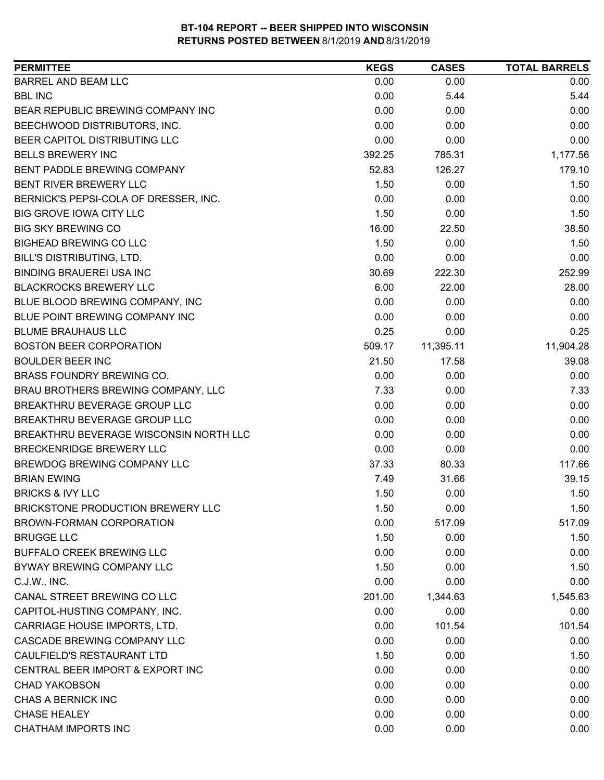| <b>PERMITTEE</b>                         | <b>KEGS</b> | <b>CASES</b> | <b>TOTAL BARRELS</b> |
|------------------------------------------|-------------|--------------|----------------------|
| <b>BARREL AND BEAM LLC</b>               | 0.00        | 0.00         | 0.00                 |
| <b>BBL INC</b>                           | 0.00        | 5.44         | 5.44                 |
| BEAR REPUBLIC BREWING COMPANY INC        | 0.00        | 0.00         | 0.00                 |
| BEECHWOOD DISTRIBUTORS, INC.             | 0.00        | 0.00         | 0.00                 |
| BEER CAPITOL DISTRIBUTING LLC            | 0.00        | 0.00         | 0.00                 |
| <b>BELLS BREWERY INC</b>                 | 392.25      | 785.31       | 1,177.56             |
| BENT PADDLE BREWING COMPANY              | 52.83       | 126.27       | 179.10               |
| BENT RIVER BREWERY LLC                   | 1.50        | 0.00         | 1.50                 |
| BERNICK'S PEPSI-COLA OF DRESSER, INC.    | 0.00        | 0.00         | 0.00                 |
| <b>BIG GROVE IOWA CITY LLC</b>           | 1.50        | 0.00         | 1.50                 |
| <b>BIG SKY BREWING CO</b>                | 16.00       | 22.50        | 38.50                |
| <b>BIGHEAD BREWING CO LLC</b>            | 1.50        | 0.00         | 1.50                 |
| BILL'S DISTRIBUTING, LTD.                | 0.00        | 0.00         | 0.00                 |
| <b>BINDING BRAUEREI USA INC</b>          | 30.69       | 222.30       | 252.99               |
| <b>BLACKROCKS BREWERY LLC</b>            | 6.00        | 22.00        | 28.00                |
| BLUE BLOOD BREWING COMPANY, INC          | 0.00        | 0.00         | 0.00                 |
| BLUE POINT BREWING COMPANY INC           | 0.00        | 0.00         | 0.00                 |
| <b>BLUME BRAUHAUS LLC</b>                | 0.25        | 0.00         | 0.25                 |
| <b>BOSTON BEER CORPORATION</b>           | 509.17      | 11,395.11    | 11,904.28            |
| <b>BOULDER BEER INC</b>                  | 21.50       | 17.58        | 39.08                |
| BRASS FOUNDRY BREWING CO.                | 0.00        | 0.00         | 0.00                 |
| BRAU BROTHERS BREWING COMPANY, LLC       | 7.33        | 0.00         | 7.33                 |
| BREAKTHRU BEVERAGE GROUP LLC             | 0.00        | 0.00         | 0.00                 |
| BREAKTHRU BEVERAGE GROUP LLC             | 0.00        | 0.00         | 0.00                 |
| BREAKTHRU BEVERAGE WISCONSIN NORTH LLC   | 0.00        | 0.00         | 0.00                 |
| <b>BRECKENRIDGE BREWERY LLC</b>          | 0.00        | 0.00         | 0.00                 |
| BREWDOG BREWING COMPANY LLC              | 37.33       | 80.33        | 117.66               |
| <b>BRIAN EWING</b>                       | 7.49        | 31.66        | 39.15                |
| <b>BRICKS &amp; IVY LLC</b>              | 1.50        | 0.00         | 1.50                 |
| <b>BRICKSTONE PRODUCTION BREWERY LLC</b> | 1.50        | 0.00         | 1.50                 |
| BROWN-FORMAN CORPORATION                 | 0.00        | 517.09       | 517.09               |
| <b>BRUGGE LLC</b>                        | 1.50        | 0.00         | 1.50                 |
| <b>BUFFALO CREEK BREWING LLC</b>         | 0.00        | 0.00         | 0.00                 |
| BYWAY BREWING COMPANY LLC                | 1.50        | 0.00         | 1.50                 |
| C.J.W., INC.                             | 0.00        | 0.00         | 0.00                 |
| CANAL STREET BREWING CO LLC              | 201.00      | 1,344.63     | 1,545.63             |
| CAPITOL-HUSTING COMPANY, INC.            | 0.00        | 0.00         | 0.00                 |
| CARRIAGE HOUSE IMPORTS, LTD.             | 0.00        | 101.54       | 101.54               |
| CASCADE BREWING COMPANY LLC              | 0.00        | 0.00         | 0.00                 |
| CAULFIELD'S RESTAURANT LTD               | 1.50        | 0.00         | 1.50                 |
| CENTRAL BEER IMPORT & EXPORT INC         | 0.00        | 0.00         | 0.00                 |
| <b>CHAD YAKOBSON</b>                     | 0.00        | 0.00         | 0.00                 |
| CHAS A BERNICK INC                       | 0.00        | 0.00         | 0.00                 |
| <b>CHASE HEALEY</b>                      | 0.00        | 0.00         | 0.00                 |
| <b>CHATHAM IMPORTS INC</b>               | 0.00        | 0.00         | 0.00                 |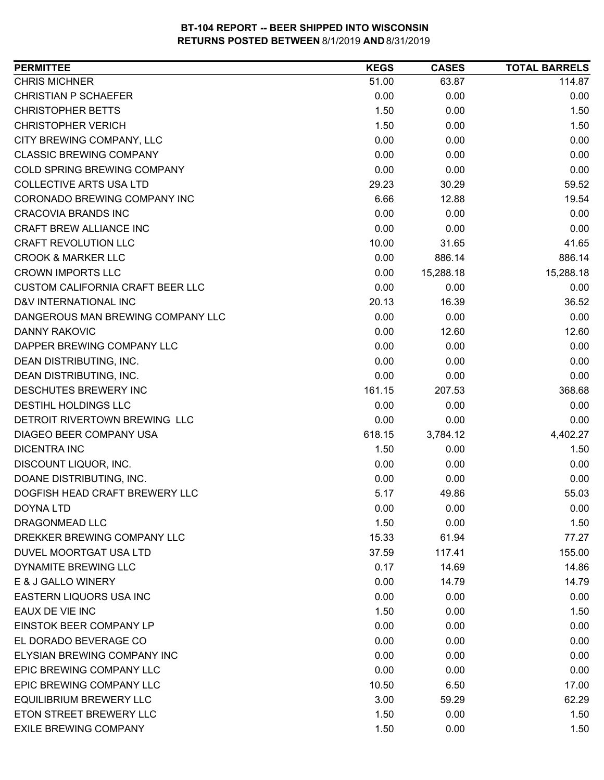| <b>PERMITTEE</b>                        | <b>KEGS</b> | <b>CASES</b> | <b>TOTAL BARRELS</b> |
|-----------------------------------------|-------------|--------------|----------------------|
| <b>CHRIS MICHNER</b>                    | 51.00       | 63.87        | 114.87               |
| <b>CHRISTIAN P SCHAEFER</b>             | 0.00        | 0.00         | 0.00                 |
| <b>CHRISTOPHER BETTS</b>                | 1.50        | 0.00         | 1.50                 |
| <b>CHRISTOPHER VERICH</b>               | 1.50        | 0.00         | 1.50                 |
| CITY BREWING COMPANY, LLC               | 0.00        | 0.00         | 0.00                 |
| <b>CLASSIC BREWING COMPANY</b>          | 0.00        | 0.00         | 0.00                 |
| COLD SPRING BREWING COMPANY             | 0.00        | 0.00         | 0.00                 |
| <b>COLLECTIVE ARTS USA LTD</b>          | 29.23       | 30.29        | 59.52                |
| CORONADO BREWING COMPANY INC            | 6.66        | 12.88        | 19.54                |
| <b>CRACOVIA BRANDS INC</b>              | 0.00        | 0.00         | 0.00                 |
| CRAFT BREW ALLIANCE INC                 | 0.00        | 0.00         | 0.00                 |
| <b>CRAFT REVOLUTION LLC</b>             | 10.00       | 31.65        | 41.65                |
| <b>CROOK &amp; MARKER LLC</b>           | 0.00        | 886.14       | 886.14               |
| <b>CROWN IMPORTS LLC</b>                | 0.00        | 15,288.18    | 15,288.18            |
| <b>CUSTOM CALIFORNIA CRAFT BEER LLC</b> | 0.00        | 0.00         | 0.00                 |
| D&V INTERNATIONAL INC                   | 20.13       | 16.39        | 36.52                |
| DANGEROUS MAN BREWING COMPANY LLC       | 0.00        | 0.00         | 0.00                 |
| <b>DANNY RAKOVIC</b>                    | 0.00        | 12.60        | 12.60                |
| DAPPER BREWING COMPANY LLC              | 0.00        | 0.00         | 0.00                 |
| DEAN DISTRIBUTING, INC.                 | 0.00        | 0.00         | 0.00                 |
| DEAN DISTRIBUTING, INC.                 | 0.00        | 0.00         | 0.00                 |
| DESCHUTES BREWERY INC                   | 161.15      | 207.53       | 368.68               |
| DESTIHL HOLDINGS LLC                    | 0.00        | 0.00         | 0.00                 |
| DETROIT RIVERTOWN BREWING LLC           | 0.00        | 0.00         | 0.00                 |
| DIAGEO BEER COMPANY USA                 | 618.15      | 3,784.12     | 4,402.27             |
| <b>DICENTRA INC</b>                     | 1.50        | 0.00         | 1.50                 |
| DISCOUNT LIQUOR, INC.                   | 0.00        | 0.00         | 0.00                 |
| DOANE DISTRIBUTING, INC.                | 0.00        | 0.00         | 0.00                 |
| DOGFISH HEAD CRAFT BREWERY LLC          | 5.17        | 49.86        | 55.03                |
| <b>DOYNA LTD</b>                        | 0.00        | 0.00         | 0.00                 |
| DRAGONMEAD LLC                          | 1.50        | 0.00         | 1.50                 |
| DREKKER BREWING COMPANY LLC             | 15.33       | 61.94        | 77.27                |
| <b>DUVEL MOORTGAT USA LTD</b>           | 37.59       | 117.41       | 155.00               |
| DYNAMITE BREWING LLC                    | 0.17        | 14.69        | 14.86                |
| E & J GALLO WINERY                      | 0.00        | 14.79        | 14.79                |
| <b>EASTERN LIQUORS USA INC</b>          | 0.00        | 0.00         | 0.00                 |
| EAUX DE VIE INC                         | 1.50        | 0.00         | 1.50                 |
| EINSTOK BEER COMPANY LP                 | 0.00        | 0.00         | 0.00                 |
| EL DORADO BEVERAGE CO                   | 0.00        | 0.00         | 0.00                 |
| ELYSIAN BREWING COMPANY INC             | 0.00        | 0.00         | 0.00                 |
| EPIC BREWING COMPANY LLC                | 0.00        | 0.00         | 0.00                 |
| EPIC BREWING COMPANY LLC                | 10.50       | 6.50         | 17.00                |
| <b>EQUILIBRIUM BREWERY LLC</b>          | 3.00        | 59.29        | 62.29                |
| ETON STREET BREWERY LLC                 | 1.50        | 0.00         | 1.50                 |
| <b>EXILE BREWING COMPANY</b>            | 1.50        | 0.00         | 1.50                 |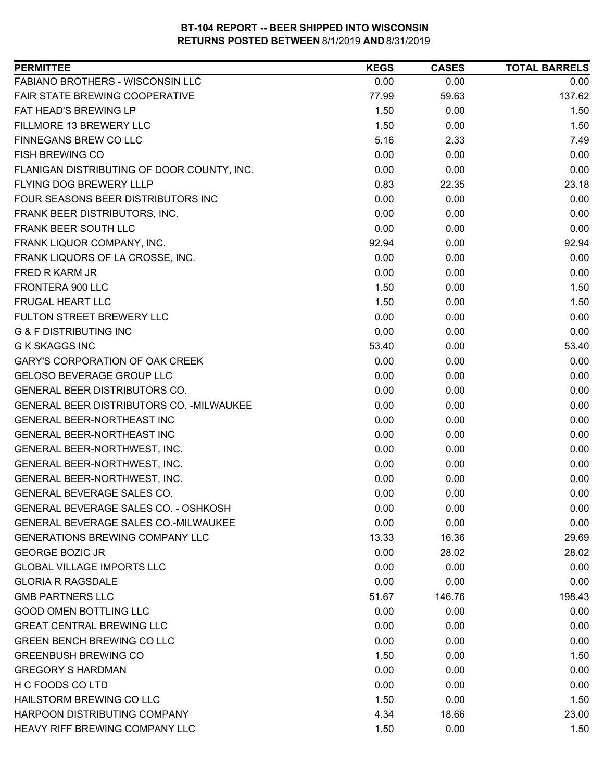| FABIANO BROTHERS - WISCONSIN LLC<br>0.00<br>0.00<br>0.00<br>FAIR STATE BREWING COOPERATIVE<br>137.62<br>77.99<br>59.63<br>FAT HEAD'S BREWING LP<br>1.50<br>0.00<br>1.50<br>FILLMORE 13 BREWERY LLC<br>1.50<br>0.00<br>1.50<br>5.16<br>FINNEGANS BREW CO LLC<br>2.33<br>7.49<br><b>FISH BREWING CO</b><br>0.00<br>0.00<br>0.00<br>FLANIGAN DISTRIBUTING OF DOOR COUNTY, INC.<br>0.00<br>0.00<br>0.00<br>FLYING DOG BREWERY LLLP<br>0.83<br>22.35<br>23.18<br>0.00<br>FOUR SEASONS BEER DISTRIBUTORS INC<br>0.00<br>0.00<br>FRANK BEER DISTRIBUTORS, INC.<br>0.00<br>0.00<br>0.00<br>FRANK BEER SOUTH LLC<br>0.00<br>0.00<br>0.00<br>FRANK LIQUOR COMPANY, INC.<br>92.94<br>0.00<br>92.94<br>FRANK LIQUORS OF LA CROSSE, INC.<br>0.00<br>0.00<br>0.00<br><b>FRED R KARM JR</b><br>0.00<br>0.00<br>0.00<br>FRONTERA 900 LLC<br>1.50<br>0.00<br>1.50<br><b>FRUGAL HEART LLC</b><br>1.50<br>0.00<br>1.50<br>0.00<br>0.00<br>FULTON STREET BREWERY LLC<br>0.00<br><b>G &amp; F DISTRIBUTING INC</b><br>0.00<br>0.00<br>0.00<br><b>G K SKAGGS INC</b><br>53.40<br>0.00<br>53.40<br>0.00<br>0.00<br><b>GARY'S CORPORATION OF OAK CREEK</b><br>0.00<br><b>GELOSO BEVERAGE GROUP LLC</b><br>0.00<br>0.00<br>0.00<br>GENERAL BEER DISTRIBUTORS CO.<br>0.00<br>0.00<br>0.00<br>GENERAL BEER DISTRIBUTORS CO. - MILWAUKEE<br>0.00<br>0.00<br>0.00<br>0.00<br>0.00<br><b>GENERAL BEER-NORTHEAST INC</b><br>0.00<br>0.00<br>0.00<br>GENERAL BEER-NORTHEAST INC<br>0.00<br>0.00<br>GENERAL BEER-NORTHWEST, INC.<br>0.00<br>0.00<br>0.00<br>0.00<br>GENERAL BEER-NORTHWEST, INC.<br>0.00<br>0.00<br>GENERAL BEER-NORTHWEST, INC.<br>0.00<br>0.00<br>0.00<br><b>GENERAL BEVERAGE SALES CO.</b><br>0.00<br>0.00<br><b>GENERAL BEVERAGE SALES CO. - OSHKOSH</b><br>0.00<br>0.00<br>0.00<br>0.00<br><b>GENERAL BEVERAGE SALES CO.-MILWAUKEE</b><br>0.00<br>0.00<br><b>GENERATIONS BREWING COMPANY LLC</b><br>13.33<br>16.36<br>29.69<br><b>GEORGE BOZIC JR</b><br>0.00<br>28.02<br>28.02<br><b>GLOBAL VILLAGE IMPORTS LLC</b><br>0.00<br>0.00<br>0.00<br>0.00<br><b>GLORIA R RAGSDALE</b><br>0.00<br>0.00<br><b>GMB PARTNERS LLC</b><br>51.67<br>146.76<br>198.43<br><b>GOOD OMEN BOTTLING LLC</b><br>0.00<br>0.00<br>0.00<br><b>GREAT CENTRAL BREWING LLC</b><br>0.00<br>0.00<br>0.00<br><b>GREEN BENCH BREWING CO LLC</b><br>0.00<br>0.00<br>0.00<br><b>GREENBUSH BREWING CO</b><br>1.50<br>0.00<br>1.50<br><b>GREGORY S HARDMAN</b><br>0.00<br>0.00<br>0.00<br>H C FOODS CO LTD<br>0.00<br>0.00<br>0.00<br>HAILSTORM BREWING CO LLC<br>1.50<br>0.00<br>1.50<br>HARPOON DISTRIBUTING COMPANY<br>4.34<br>18.66<br>23.00<br>HEAVY RIFF BREWING COMPANY LLC<br>1.50<br>0.00<br>1.50 | <b>PERMITTEE</b> | <b>KEGS</b> | <b>CASES</b> | <b>TOTAL BARRELS</b> |
|---------------------------------------------------------------------------------------------------------------------------------------------------------------------------------------------------------------------------------------------------------------------------------------------------------------------------------------------------------------------------------------------------------------------------------------------------------------------------------------------------------------------------------------------------------------------------------------------------------------------------------------------------------------------------------------------------------------------------------------------------------------------------------------------------------------------------------------------------------------------------------------------------------------------------------------------------------------------------------------------------------------------------------------------------------------------------------------------------------------------------------------------------------------------------------------------------------------------------------------------------------------------------------------------------------------------------------------------------------------------------------------------------------------------------------------------------------------------------------------------------------------------------------------------------------------------------------------------------------------------------------------------------------------------------------------------------------------------------------------------------------------------------------------------------------------------------------------------------------------------------------------------------------------------------------------------------------------------------------------------------------------------------------------------------------------------------------------------------------------------------------------------------------------------------------------------------------------------------------------------------------------------------------------------------------------------------------------------------------------------------------------------------------------------------------------------------------------------------------------------------------------------------------------------------------------------------------------------------------------------------------------------------------------|------------------|-------------|--------------|----------------------|
|                                                                                                                                                                                                                                                                                                                                                                                                                                                                                                                                                                                                                                                                                                                                                                                                                                                                                                                                                                                                                                                                                                                                                                                                                                                                                                                                                                                                                                                                                                                                                                                                                                                                                                                                                                                                                                                                                                                                                                                                                                                                                                                                                                                                                                                                                                                                                                                                                                                                                                                                                                                                                                                               |                  |             |              |                      |
|                                                                                                                                                                                                                                                                                                                                                                                                                                                                                                                                                                                                                                                                                                                                                                                                                                                                                                                                                                                                                                                                                                                                                                                                                                                                                                                                                                                                                                                                                                                                                                                                                                                                                                                                                                                                                                                                                                                                                                                                                                                                                                                                                                                                                                                                                                                                                                                                                                                                                                                                                                                                                                                               |                  |             |              |                      |
|                                                                                                                                                                                                                                                                                                                                                                                                                                                                                                                                                                                                                                                                                                                                                                                                                                                                                                                                                                                                                                                                                                                                                                                                                                                                                                                                                                                                                                                                                                                                                                                                                                                                                                                                                                                                                                                                                                                                                                                                                                                                                                                                                                                                                                                                                                                                                                                                                                                                                                                                                                                                                                                               |                  |             |              |                      |
|                                                                                                                                                                                                                                                                                                                                                                                                                                                                                                                                                                                                                                                                                                                                                                                                                                                                                                                                                                                                                                                                                                                                                                                                                                                                                                                                                                                                                                                                                                                                                                                                                                                                                                                                                                                                                                                                                                                                                                                                                                                                                                                                                                                                                                                                                                                                                                                                                                                                                                                                                                                                                                                               |                  |             |              |                      |
|                                                                                                                                                                                                                                                                                                                                                                                                                                                                                                                                                                                                                                                                                                                                                                                                                                                                                                                                                                                                                                                                                                                                                                                                                                                                                                                                                                                                                                                                                                                                                                                                                                                                                                                                                                                                                                                                                                                                                                                                                                                                                                                                                                                                                                                                                                                                                                                                                                                                                                                                                                                                                                                               |                  |             |              |                      |
|                                                                                                                                                                                                                                                                                                                                                                                                                                                                                                                                                                                                                                                                                                                                                                                                                                                                                                                                                                                                                                                                                                                                                                                                                                                                                                                                                                                                                                                                                                                                                                                                                                                                                                                                                                                                                                                                                                                                                                                                                                                                                                                                                                                                                                                                                                                                                                                                                                                                                                                                                                                                                                                               |                  |             |              |                      |
|                                                                                                                                                                                                                                                                                                                                                                                                                                                                                                                                                                                                                                                                                                                                                                                                                                                                                                                                                                                                                                                                                                                                                                                                                                                                                                                                                                                                                                                                                                                                                                                                                                                                                                                                                                                                                                                                                                                                                                                                                                                                                                                                                                                                                                                                                                                                                                                                                                                                                                                                                                                                                                                               |                  |             |              |                      |
|                                                                                                                                                                                                                                                                                                                                                                                                                                                                                                                                                                                                                                                                                                                                                                                                                                                                                                                                                                                                                                                                                                                                                                                                                                                                                                                                                                                                                                                                                                                                                                                                                                                                                                                                                                                                                                                                                                                                                                                                                                                                                                                                                                                                                                                                                                                                                                                                                                                                                                                                                                                                                                                               |                  |             |              |                      |
|                                                                                                                                                                                                                                                                                                                                                                                                                                                                                                                                                                                                                                                                                                                                                                                                                                                                                                                                                                                                                                                                                                                                                                                                                                                                                                                                                                                                                                                                                                                                                                                                                                                                                                                                                                                                                                                                                                                                                                                                                                                                                                                                                                                                                                                                                                                                                                                                                                                                                                                                                                                                                                                               |                  |             |              |                      |
|                                                                                                                                                                                                                                                                                                                                                                                                                                                                                                                                                                                                                                                                                                                                                                                                                                                                                                                                                                                                                                                                                                                                                                                                                                                                                                                                                                                                                                                                                                                                                                                                                                                                                                                                                                                                                                                                                                                                                                                                                                                                                                                                                                                                                                                                                                                                                                                                                                                                                                                                                                                                                                                               |                  |             |              |                      |
|                                                                                                                                                                                                                                                                                                                                                                                                                                                                                                                                                                                                                                                                                                                                                                                                                                                                                                                                                                                                                                                                                                                                                                                                                                                                                                                                                                                                                                                                                                                                                                                                                                                                                                                                                                                                                                                                                                                                                                                                                                                                                                                                                                                                                                                                                                                                                                                                                                                                                                                                                                                                                                                               |                  |             |              |                      |
|                                                                                                                                                                                                                                                                                                                                                                                                                                                                                                                                                                                                                                                                                                                                                                                                                                                                                                                                                                                                                                                                                                                                                                                                                                                                                                                                                                                                                                                                                                                                                                                                                                                                                                                                                                                                                                                                                                                                                                                                                                                                                                                                                                                                                                                                                                                                                                                                                                                                                                                                                                                                                                                               |                  |             |              |                      |
|                                                                                                                                                                                                                                                                                                                                                                                                                                                                                                                                                                                                                                                                                                                                                                                                                                                                                                                                                                                                                                                                                                                                                                                                                                                                                                                                                                                                                                                                                                                                                                                                                                                                                                                                                                                                                                                                                                                                                                                                                                                                                                                                                                                                                                                                                                                                                                                                                                                                                                                                                                                                                                                               |                  |             |              |                      |
|                                                                                                                                                                                                                                                                                                                                                                                                                                                                                                                                                                                                                                                                                                                                                                                                                                                                                                                                                                                                                                                                                                                                                                                                                                                                                                                                                                                                                                                                                                                                                                                                                                                                                                                                                                                                                                                                                                                                                                                                                                                                                                                                                                                                                                                                                                                                                                                                                                                                                                                                                                                                                                                               |                  |             |              |                      |
|                                                                                                                                                                                                                                                                                                                                                                                                                                                                                                                                                                                                                                                                                                                                                                                                                                                                                                                                                                                                                                                                                                                                                                                                                                                                                                                                                                                                                                                                                                                                                                                                                                                                                                                                                                                                                                                                                                                                                                                                                                                                                                                                                                                                                                                                                                                                                                                                                                                                                                                                                                                                                                                               |                  |             |              |                      |
|                                                                                                                                                                                                                                                                                                                                                                                                                                                                                                                                                                                                                                                                                                                                                                                                                                                                                                                                                                                                                                                                                                                                                                                                                                                                                                                                                                                                                                                                                                                                                                                                                                                                                                                                                                                                                                                                                                                                                                                                                                                                                                                                                                                                                                                                                                                                                                                                                                                                                                                                                                                                                                                               |                  |             |              |                      |
|                                                                                                                                                                                                                                                                                                                                                                                                                                                                                                                                                                                                                                                                                                                                                                                                                                                                                                                                                                                                                                                                                                                                                                                                                                                                                                                                                                                                                                                                                                                                                                                                                                                                                                                                                                                                                                                                                                                                                                                                                                                                                                                                                                                                                                                                                                                                                                                                                                                                                                                                                                                                                                                               |                  |             |              |                      |
|                                                                                                                                                                                                                                                                                                                                                                                                                                                                                                                                                                                                                                                                                                                                                                                                                                                                                                                                                                                                                                                                                                                                                                                                                                                                                                                                                                                                                                                                                                                                                                                                                                                                                                                                                                                                                                                                                                                                                                                                                                                                                                                                                                                                                                                                                                                                                                                                                                                                                                                                                                                                                                                               |                  |             |              |                      |
|                                                                                                                                                                                                                                                                                                                                                                                                                                                                                                                                                                                                                                                                                                                                                                                                                                                                                                                                                                                                                                                                                                                                                                                                                                                                                                                                                                                                                                                                                                                                                                                                                                                                                                                                                                                                                                                                                                                                                                                                                                                                                                                                                                                                                                                                                                                                                                                                                                                                                                                                                                                                                                                               |                  |             |              |                      |
|                                                                                                                                                                                                                                                                                                                                                                                                                                                                                                                                                                                                                                                                                                                                                                                                                                                                                                                                                                                                                                                                                                                                                                                                                                                                                                                                                                                                                                                                                                                                                                                                                                                                                                                                                                                                                                                                                                                                                                                                                                                                                                                                                                                                                                                                                                                                                                                                                                                                                                                                                                                                                                                               |                  |             |              |                      |
|                                                                                                                                                                                                                                                                                                                                                                                                                                                                                                                                                                                                                                                                                                                                                                                                                                                                                                                                                                                                                                                                                                                                                                                                                                                                                                                                                                                                                                                                                                                                                                                                                                                                                                                                                                                                                                                                                                                                                                                                                                                                                                                                                                                                                                                                                                                                                                                                                                                                                                                                                                                                                                                               |                  |             |              |                      |
|                                                                                                                                                                                                                                                                                                                                                                                                                                                                                                                                                                                                                                                                                                                                                                                                                                                                                                                                                                                                                                                                                                                                                                                                                                                                                                                                                                                                                                                                                                                                                                                                                                                                                                                                                                                                                                                                                                                                                                                                                                                                                                                                                                                                                                                                                                                                                                                                                                                                                                                                                                                                                                                               |                  |             |              |                      |
|                                                                                                                                                                                                                                                                                                                                                                                                                                                                                                                                                                                                                                                                                                                                                                                                                                                                                                                                                                                                                                                                                                                                                                                                                                                                                                                                                                                                                                                                                                                                                                                                                                                                                                                                                                                                                                                                                                                                                                                                                                                                                                                                                                                                                                                                                                                                                                                                                                                                                                                                                                                                                                                               |                  |             |              |                      |
|                                                                                                                                                                                                                                                                                                                                                                                                                                                                                                                                                                                                                                                                                                                                                                                                                                                                                                                                                                                                                                                                                                                                                                                                                                                                                                                                                                                                                                                                                                                                                                                                                                                                                                                                                                                                                                                                                                                                                                                                                                                                                                                                                                                                                                                                                                                                                                                                                                                                                                                                                                                                                                                               |                  |             |              |                      |
|                                                                                                                                                                                                                                                                                                                                                                                                                                                                                                                                                                                                                                                                                                                                                                                                                                                                                                                                                                                                                                                                                                                                                                                                                                                                                                                                                                                                                                                                                                                                                                                                                                                                                                                                                                                                                                                                                                                                                                                                                                                                                                                                                                                                                                                                                                                                                                                                                                                                                                                                                                                                                                                               |                  |             |              |                      |
|                                                                                                                                                                                                                                                                                                                                                                                                                                                                                                                                                                                                                                                                                                                                                                                                                                                                                                                                                                                                                                                                                                                                                                                                                                                                                                                                                                                                                                                                                                                                                                                                                                                                                                                                                                                                                                                                                                                                                                                                                                                                                                                                                                                                                                                                                                                                                                                                                                                                                                                                                                                                                                                               |                  |             |              |                      |
|                                                                                                                                                                                                                                                                                                                                                                                                                                                                                                                                                                                                                                                                                                                                                                                                                                                                                                                                                                                                                                                                                                                                                                                                                                                                                                                                                                                                                                                                                                                                                                                                                                                                                                                                                                                                                                                                                                                                                                                                                                                                                                                                                                                                                                                                                                                                                                                                                                                                                                                                                                                                                                                               |                  |             |              |                      |
|                                                                                                                                                                                                                                                                                                                                                                                                                                                                                                                                                                                                                                                                                                                                                                                                                                                                                                                                                                                                                                                                                                                                                                                                                                                                                                                                                                                                                                                                                                                                                                                                                                                                                                                                                                                                                                                                                                                                                                                                                                                                                                                                                                                                                                                                                                                                                                                                                                                                                                                                                                                                                                                               |                  |             |              |                      |
|                                                                                                                                                                                                                                                                                                                                                                                                                                                                                                                                                                                                                                                                                                                                                                                                                                                                                                                                                                                                                                                                                                                                                                                                                                                                                                                                                                                                                                                                                                                                                                                                                                                                                                                                                                                                                                                                                                                                                                                                                                                                                                                                                                                                                                                                                                                                                                                                                                                                                                                                                                                                                                                               |                  |             |              |                      |
|                                                                                                                                                                                                                                                                                                                                                                                                                                                                                                                                                                                                                                                                                                                                                                                                                                                                                                                                                                                                                                                                                                                                                                                                                                                                                                                                                                                                                                                                                                                                                                                                                                                                                                                                                                                                                                                                                                                                                                                                                                                                                                                                                                                                                                                                                                                                                                                                                                                                                                                                                                                                                                                               |                  |             |              |                      |
|                                                                                                                                                                                                                                                                                                                                                                                                                                                                                                                                                                                                                                                                                                                                                                                                                                                                                                                                                                                                                                                                                                                                                                                                                                                                                                                                                                                                                                                                                                                                                                                                                                                                                                                                                                                                                                                                                                                                                                                                                                                                                                                                                                                                                                                                                                                                                                                                                                                                                                                                                                                                                                                               |                  |             |              |                      |
|                                                                                                                                                                                                                                                                                                                                                                                                                                                                                                                                                                                                                                                                                                                                                                                                                                                                                                                                                                                                                                                                                                                                                                                                                                                                                                                                                                                                                                                                                                                                                                                                                                                                                                                                                                                                                                                                                                                                                                                                                                                                                                                                                                                                                                                                                                                                                                                                                                                                                                                                                                                                                                                               |                  |             |              |                      |
|                                                                                                                                                                                                                                                                                                                                                                                                                                                                                                                                                                                                                                                                                                                                                                                                                                                                                                                                                                                                                                                                                                                                                                                                                                                                                                                                                                                                                                                                                                                                                                                                                                                                                                                                                                                                                                                                                                                                                                                                                                                                                                                                                                                                                                                                                                                                                                                                                                                                                                                                                                                                                                                               |                  |             |              |                      |
|                                                                                                                                                                                                                                                                                                                                                                                                                                                                                                                                                                                                                                                                                                                                                                                                                                                                                                                                                                                                                                                                                                                                                                                                                                                                                                                                                                                                                                                                                                                                                                                                                                                                                                                                                                                                                                                                                                                                                                                                                                                                                                                                                                                                                                                                                                                                                                                                                                                                                                                                                                                                                                                               |                  |             |              |                      |
|                                                                                                                                                                                                                                                                                                                                                                                                                                                                                                                                                                                                                                                                                                                                                                                                                                                                                                                                                                                                                                                                                                                                                                                                                                                                                                                                                                                                                                                                                                                                                                                                                                                                                                                                                                                                                                                                                                                                                                                                                                                                                                                                                                                                                                                                                                                                                                                                                                                                                                                                                                                                                                                               |                  |             |              |                      |
|                                                                                                                                                                                                                                                                                                                                                                                                                                                                                                                                                                                                                                                                                                                                                                                                                                                                                                                                                                                                                                                                                                                                                                                                                                                                                                                                                                                                                                                                                                                                                                                                                                                                                                                                                                                                                                                                                                                                                                                                                                                                                                                                                                                                                                                                                                                                                                                                                                                                                                                                                                                                                                                               |                  |             |              |                      |
|                                                                                                                                                                                                                                                                                                                                                                                                                                                                                                                                                                                                                                                                                                                                                                                                                                                                                                                                                                                                                                                                                                                                                                                                                                                                                                                                                                                                                                                                                                                                                                                                                                                                                                                                                                                                                                                                                                                                                                                                                                                                                                                                                                                                                                                                                                                                                                                                                                                                                                                                                                                                                                                               |                  |             |              |                      |
|                                                                                                                                                                                                                                                                                                                                                                                                                                                                                                                                                                                                                                                                                                                                                                                                                                                                                                                                                                                                                                                                                                                                                                                                                                                                                                                                                                                                                                                                                                                                                                                                                                                                                                                                                                                                                                                                                                                                                                                                                                                                                                                                                                                                                                                                                                                                                                                                                                                                                                                                                                                                                                                               |                  |             |              |                      |
|                                                                                                                                                                                                                                                                                                                                                                                                                                                                                                                                                                                                                                                                                                                                                                                                                                                                                                                                                                                                                                                                                                                                                                                                                                                                                                                                                                                                                                                                                                                                                                                                                                                                                                                                                                                                                                                                                                                                                                                                                                                                                                                                                                                                                                                                                                                                                                                                                                                                                                                                                                                                                                                               |                  |             |              |                      |
|                                                                                                                                                                                                                                                                                                                                                                                                                                                                                                                                                                                                                                                                                                                                                                                                                                                                                                                                                                                                                                                                                                                                                                                                                                                                                                                                                                                                                                                                                                                                                                                                                                                                                                                                                                                                                                                                                                                                                                                                                                                                                                                                                                                                                                                                                                                                                                                                                                                                                                                                                                                                                                                               |                  |             |              |                      |
|                                                                                                                                                                                                                                                                                                                                                                                                                                                                                                                                                                                                                                                                                                                                                                                                                                                                                                                                                                                                                                                                                                                                                                                                                                                                                                                                                                                                                                                                                                                                                                                                                                                                                                                                                                                                                                                                                                                                                                                                                                                                                                                                                                                                                                                                                                                                                                                                                                                                                                                                                                                                                                                               |                  |             |              |                      |
|                                                                                                                                                                                                                                                                                                                                                                                                                                                                                                                                                                                                                                                                                                                                                                                                                                                                                                                                                                                                                                                                                                                                                                                                                                                                                                                                                                                                                                                                                                                                                                                                                                                                                                                                                                                                                                                                                                                                                                                                                                                                                                                                                                                                                                                                                                                                                                                                                                                                                                                                                                                                                                                               |                  |             |              |                      |
|                                                                                                                                                                                                                                                                                                                                                                                                                                                                                                                                                                                                                                                                                                                                                                                                                                                                                                                                                                                                                                                                                                                                                                                                                                                                                                                                                                                                                                                                                                                                                                                                                                                                                                                                                                                                                                                                                                                                                                                                                                                                                                                                                                                                                                                                                                                                                                                                                                                                                                                                                                                                                                                               |                  |             |              |                      |
|                                                                                                                                                                                                                                                                                                                                                                                                                                                                                                                                                                                                                                                                                                                                                                                                                                                                                                                                                                                                                                                                                                                                                                                                                                                                                                                                                                                                                                                                                                                                                                                                                                                                                                                                                                                                                                                                                                                                                                                                                                                                                                                                                                                                                                                                                                                                                                                                                                                                                                                                                                                                                                                               |                  |             |              |                      |
|                                                                                                                                                                                                                                                                                                                                                                                                                                                                                                                                                                                                                                                                                                                                                                                                                                                                                                                                                                                                                                                                                                                                                                                                                                                                                                                                                                                                                                                                                                                                                                                                                                                                                                                                                                                                                                                                                                                                                                                                                                                                                                                                                                                                                                                                                                                                                                                                                                                                                                                                                                                                                                                               |                  |             |              |                      |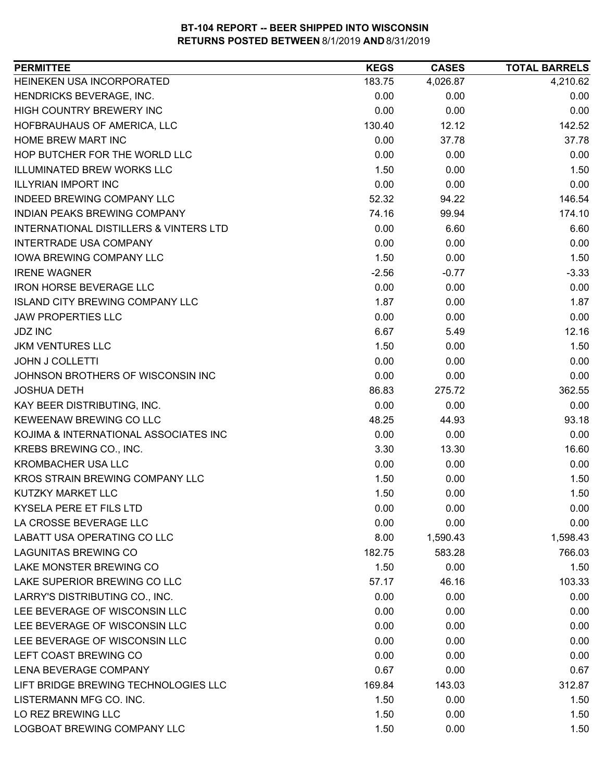| HEINEKEN USA INCORPORATED<br>183.75<br>4,026.87<br>4,210.62<br>HENDRICKS BEVERAGE, INC.<br>0.00<br>0.00<br>0.00<br>HIGH COUNTRY BREWERY INC<br>0.00<br>0.00<br>0.00<br>12.12<br>142.52<br>HOFBRAUHAUS OF AMERICA, LLC<br>130.40<br>0.00<br>37.78<br><b>HOME BREW MART INC</b><br>37.78<br>HOP BUTCHER FOR THE WORLD LLC<br>0.00<br>0.00<br>0.00<br><b>ILLUMINATED BREW WORKS LLC</b><br>1.50<br>1.50<br>0.00<br><b>ILLYRIAN IMPORT INC</b><br>0.00<br>0.00<br>0.00<br><b>INDEED BREWING COMPANY LLC</b><br>52.32<br>146.54<br>94.22<br>INDIAN PEAKS BREWING COMPANY<br>174.10<br>74.16<br>99.94<br><b>INTERNATIONAL DISTILLERS &amp; VINTERS LTD</b><br>0.00<br>6.60<br>6.60<br><b>INTERTRADE USA COMPANY</b><br>0.00<br>0.00<br>0.00<br><b>IOWA BREWING COMPANY LLC</b><br>1.50<br>0.00<br>1.50<br><b>IRENE WAGNER</b><br>$-3.33$<br>$-2.56$<br>$-0.77$<br><b>IRON HORSE BEVERAGE LLC</b><br>0.00<br>0.00<br>0.00<br>1.87<br>0.00<br>1.87<br><b>ISLAND CITY BREWING COMPANY LLC</b><br>0.00<br><b>JAW PROPERTIES LLC</b><br>0.00<br>0.00<br>12.16<br><b>JDZ INC</b><br>6.67<br>5.49<br><b>JKM VENTURES LLC</b><br>1.50<br>1.50<br>0.00<br>0.00<br><b>JOHN J COLLETTI</b><br>0.00<br>0.00<br>JOHNSON BROTHERS OF WISCONSIN INC<br>0.00<br>0.00<br>0.00<br>362.55<br><b>JOSHUA DETH</b><br>86.83<br>275.72<br>KAY BEER DISTRIBUTING, INC.<br>0.00<br>0.00<br>0.00<br>KEWEENAW BREWING CO LLC<br>93.18<br>48.25<br>44.93<br>KOJIMA & INTERNATIONAL ASSOCIATES INC<br>0.00<br>0.00<br>0.00<br>KREBS BREWING CO., INC.<br>3.30<br>13.30<br>16.60<br><b>KROMBACHER USA LLC</b><br>0.00<br>0.00<br>0.00<br>KROS STRAIN BREWING COMPANY LLC<br>1.50<br>0.00<br>1.50<br>1.50<br>1.50<br>KUTZKY MARKET LLC<br>0.00<br>KYSELA PERE ET FILS LTD<br>0.00<br>0.00<br>0.00<br>0.00<br>LA CROSSE BEVERAGE LLC<br>0.00<br>0.00<br>LABATT USA OPERATING CO LLC<br>8.00<br>1,590.43<br>1,598.43<br><b>LAGUNITAS BREWING CO</b><br>182.75<br>583.28<br>766.03<br>LAKE MONSTER BREWING CO<br>1.50<br>0.00<br>1.50<br>LAKE SUPERIOR BREWING CO LLC<br>46.16<br>103.33<br>57.17<br>LARRY'S DISTRIBUTING CO., INC.<br>0.00<br>0.00<br>0.00<br>LEE BEVERAGE OF WISCONSIN LLC<br>0.00<br>0.00<br>0.00<br>LEE BEVERAGE OF WISCONSIN LLC<br>0.00<br>0.00<br>0.00<br>LEE BEVERAGE OF WISCONSIN LLC<br>0.00<br>0.00<br>0.00<br>LEFT COAST BREWING CO<br>0.00<br>0.00<br>0.00<br>LENA BEVERAGE COMPANY<br>0.67<br>0.67<br>0.00<br>LIFT BRIDGE BREWING TECHNOLOGIES LLC<br>169.84<br>143.03<br>312.87<br>LISTERMANN MFG CO. INC.<br>1.50<br>0.00<br>1.50<br>LO REZ BREWING LLC<br>1.50<br>0.00<br>1.50<br>LOGBOAT BREWING COMPANY LLC<br>1.50<br>0.00<br>1.50 | <b>PERMITTEE</b> | <b>KEGS</b> | <b>CASES</b> | <b>TOTAL BARRELS</b> |
|--------------------------------------------------------------------------------------------------------------------------------------------------------------------------------------------------------------------------------------------------------------------------------------------------------------------------------------------------------------------------------------------------------------------------------------------------------------------------------------------------------------------------------------------------------------------------------------------------------------------------------------------------------------------------------------------------------------------------------------------------------------------------------------------------------------------------------------------------------------------------------------------------------------------------------------------------------------------------------------------------------------------------------------------------------------------------------------------------------------------------------------------------------------------------------------------------------------------------------------------------------------------------------------------------------------------------------------------------------------------------------------------------------------------------------------------------------------------------------------------------------------------------------------------------------------------------------------------------------------------------------------------------------------------------------------------------------------------------------------------------------------------------------------------------------------------------------------------------------------------------------------------------------------------------------------------------------------------------------------------------------------------------------------------------------------------------------------------------------------------------------------------------------------------------------------------------------------------------------------------------------------------------------------------------------------------------------------------------------------------------------------------------------------------------------------------------------------------------------------------------------------------------------------------------------------------------------------------------------------------------------|------------------|-------------|--------------|----------------------|
|                                                                                                                                                                                                                                                                                                                                                                                                                                                                                                                                                                                                                                                                                                                                                                                                                                                                                                                                                                                                                                                                                                                                                                                                                                                                                                                                                                                                                                                                                                                                                                                                                                                                                                                                                                                                                                                                                                                                                                                                                                                                                                                                                                                                                                                                                                                                                                                                                                                                                                                                                                                                                                |                  |             |              |                      |
|                                                                                                                                                                                                                                                                                                                                                                                                                                                                                                                                                                                                                                                                                                                                                                                                                                                                                                                                                                                                                                                                                                                                                                                                                                                                                                                                                                                                                                                                                                                                                                                                                                                                                                                                                                                                                                                                                                                                                                                                                                                                                                                                                                                                                                                                                                                                                                                                                                                                                                                                                                                                                                |                  |             |              |                      |
|                                                                                                                                                                                                                                                                                                                                                                                                                                                                                                                                                                                                                                                                                                                                                                                                                                                                                                                                                                                                                                                                                                                                                                                                                                                                                                                                                                                                                                                                                                                                                                                                                                                                                                                                                                                                                                                                                                                                                                                                                                                                                                                                                                                                                                                                                                                                                                                                                                                                                                                                                                                                                                |                  |             |              |                      |
|                                                                                                                                                                                                                                                                                                                                                                                                                                                                                                                                                                                                                                                                                                                                                                                                                                                                                                                                                                                                                                                                                                                                                                                                                                                                                                                                                                                                                                                                                                                                                                                                                                                                                                                                                                                                                                                                                                                                                                                                                                                                                                                                                                                                                                                                                                                                                                                                                                                                                                                                                                                                                                |                  |             |              |                      |
|                                                                                                                                                                                                                                                                                                                                                                                                                                                                                                                                                                                                                                                                                                                                                                                                                                                                                                                                                                                                                                                                                                                                                                                                                                                                                                                                                                                                                                                                                                                                                                                                                                                                                                                                                                                                                                                                                                                                                                                                                                                                                                                                                                                                                                                                                                                                                                                                                                                                                                                                                                                                                                |                  |             |              |                      |
|                                                                                                                                                                                                                                                                                                                                                                                                                                                                                                                                                                                                                                                                                                                                                                                                                                                                                                                                                                                                                                                                                                                                                                                                                                                                                                                                                                                                                                                                                                                                                                                                                                                                                                                                                                                                                                                                                                                                                                                                                                                                                                                                                                                                                                                                                                                                                                                                                                                                                                                                                                                                                                |                  |             |              |                      |
|                                                                                                                                                                                                                                                                                                                                                                                                                                                                                                                                                                                                                                                                                                                                                                                                                                                                                                                                                                                                                                                                                                                                                                                                                                                                                                                                                                                                                                                                                                                                                                                                                                                                                                                                                                                                                                                                                                                                                                                                                                                                                                                                                                                                                                                                                                                                                                                                                                                                                                                                                                                                                                |                  |             |              |                      |
|                                                                                                                                                                                                                                                                                                                                                                                                                                                                                                                                                                                                                                                                                                                                                                                                                                                                                                                                                                                                                                                                                                                                                                                                                                                                                                                                                                                                                                                                                                                                                                                                                                                                                                                                                                                                                                                                                                                                                                                                                                                                                                                                                                                                                                                                                                                                                                                                                                                                                                                                                                                                                                |                  |             |              |                      |
|                                                                                                                                                                                                                                                                                                                                                                                                                                                                                                                                                                                                                                                                                                                                                                                                                                                                                                                                                                                                                                                                                                                                                                                                                                                                                                                                                                                                                                                                                                                                                                                                                                                                                                                                                                                                                                                                                                                                                                                                                                                                                                                                                                                                                                                                                                                                                                                                                                                                                                                                                                                                                                |                  |             |              |                      |
|                                                                                                                                                                                                                                                                                                                                                                                                                                                                                                                                                                                                                                                                                                                                                                                                                                                                                                                                                                                                                                                                                                                                                                                                                                                                                                                                                                                                                                                                                                                                                                                                                                                                                                                                                                                                                                                                                                                                                                                                                                                                                                                                                                                                                                                                                                                                                                                                                                                                                                                                                                                                                                |                  |             |              |                      |
|                                                                                                                                                                                                                                                                                                                                                                                                                                                                                                                                                                                                                                                                                                                                                                                                                                                                                                                                                                                                                                                                                                                                                                                                                                                                                                                                                                                                                                                                                                                                                                                                                                                                                                                                                                                                                                                                                                                                                                                                                                                                                                                                                                                                                                                                                                                                                                                                                                                                                                                                                                                                                                |                  |             |              |                      |
|                                                                                                                                                                                                                                                                                                                                                                                                                                                                                                                                                                                                                                                                                                                                                                                                                                                                                                                                                                                                                                                                                                                                                                                                                                                                                                                                                                                                                                                                                                                                                                                                                                                                                                                                                                                                                                                                                                                                                                                                                                                                                                                                                                                                                                                                                                                                                                                                                                                                                                                                                                                                                                |                  |             |              |                      |
|                                                                                                                                                                                                                                                                                                                                                                                                                                                                                                                                                                                                                                                                                                                                                                                                                                                                                                                                                                                                                                                                                                                                                                                                                                                                                                                                                                                                                                                                                                                                                                                                                                                                                                                                                                                                                                                                                                                                                                                                                                                                                                                                                                                                                                                                                                                                                                                                                                                                                                                                                                                                                                |                  |             |              |                      |
|                                                                                                                                                                                                                                                                                                                                                                                                                                                                                                                                                                                                                                                                                                                                                                                                                                                                                                                                                                                                                                                                                                                                                                                                                                                                                                                                                                                                                                                                                                                                                                                                                                                                                                                                                                                                                                                                                                                                                                                                                                                                                                                                                                                                                                                                                                                                                                                                                                                                                                                                                                                                                                |                  |             |              |                      |
|                                                                                                                                                                                                                                                                                                                                                                                                                                                                                                                                                                                                                                                                                                                                                                                                                                                                                                                                                                                                                                                                                                                                                                                                                                                                                                                                                                                                                                                                                                                                                                                                                                                                                                                                                                                                                                                                                                                                                                                                                                                                                                                                                                                                                                                                                                                                                                                                                                                                                                                                                                                                                                |                  |             |              |                      |
|                                                                                                                                                                                                                                                                                                                                                                                                                                                                                                                                                                                                                                                                                                                                                                                                                                                                                                                                                                                                                                                                                                                                                                                                                                                                                                                                                                                                                                                                                                                                                                                                                                                                                                                                                                                                                                                                                                                                                                                                                                                                                                                                                                                                                                                                                                                                                                                                                                                                                                                                                                                                                                |                  |             |              |                      |
|                                                                                                                                                                                                                                                                                                                                                                                                                                                                                                                                                                                                                                                                                                                                                                                                                                                                                                                                                                                                                                                                                                                                                                                                                                                                                                                                                                                                                                                                                                                                                                                                                                                                                                                                                                                                                                                                                                                                                                                                                                                                                                                                                                                                                                                                                                                                                                                                                                                                                                                                                                                                                                |                  |             |              |                      |
|                                                                                                                                                                                                                                                                                                                                                                                                                                                                                                                                                                                                                                                                                                                                                                                                                                                                                                                                                                                                                                                                                                                                                                                                                                                                                                                                                                                                                                                                                                                                                                                                                                                                                                                                                                                                                                                                                                                                                                                                                                                                                                                                                                                                                                                                                                                                                                                                                                                                                                                                                                                                                                |                  |             |              |                      |
|                                                                                                                                                                                                                                                                                                                                                                                                                                                                                                                                                                                                                                                                                                                                                                                                                                                                                                                                                                                                                                                                                                                                                                                                                                                                                                                                                                                                                                                                                                                                                                                                                                                                                                                                                                                                                                                                                                                                                                                                                                                                                                                                                                                                                                                                                                                                                                                                                                                                                                                                                                                                                                |                  |             |              |                      |
|                                                                                                                                                                                                                                                                                                                                                                                                                                                                                                                                                                                                                                                                                                                                                                                                                                                                                                                                                                                                                                                                                                                                                                                                                                                                                                                                                                                                                                                                                                                                                                                                                                                                                                                                                                                                                                                                                                                                                                                                                                                                                                                                                                                                                                                                                                                                                                                                                                                                                                                                                                                                                                |                  |             |              |                      |
|                                                                                                                                                                                                                                                                                                                                                                                                                                                                                                                                                                                                                                                                                                                                                                                                                                                                                                                                                                                                                                                                                                                                                                                                                                                                                                                                                                                                                                                                                                                                                                                                                                                                                                                                                                                                                                                                                                                                                                                                                                                                                                                                                                                                                                                                                                                                                                                                                                                                                                                                                                                                                                |                  |             |              |                      |
|                                                                                                                                                                                                                                                                                                                                                                                                                                                                                                                                                                                                                                                                                                                                                                                                                                                                                                                                                                                                                                                                                                                                                                                                                                                                                                                                                                                                                                                                                                                                                                                                                                                                                                                                                                                                                                                                                                                                                                                                                                                                                                                                                                                                                                                                                                                                                                                                                                                                                                                                                                                                                                |                  |             |              |                      |
|                                                                                                                                                                                                                                                                                                                                                                                                                                                                                                                                                                                                                                                                                                                                                                                                                                                                                                                                                                                                                                                                                                                                                                                                                                                                                                                                                                                                                                                                                                                                                                                                                                                                                                                                                                                                                                                                                                                                                                                                                                                                                                                                                                                                                                                                                                                                                                                                                                                                                                                                                                                                                                |                  |             |              |                      |
|                                                                                                                                                                                                                                                                                                                                                                                                                                                                                                                                                                                                                                                                                                                                                                                                                                                                                                                                                                                                                                                                                                                                                                                                                                                                                                                                                                                                                                                                                                                                                                                                                                                                                                                                                                                                                                                                                                                                                                                                                                                                                                                                                                                                                                                                                                                                                                                                                                                                                                                                                                                                                                |                  |             |              |                      |
|                                                                                                                                                                                                                                                                                                                                                                                                                                                                                                                                                                                                                                                                                                                                                                                                                                                                                                                                                                                                                                                                                                                                                                                                                                                                                                                                                                                                                                                                                                                                                                                                                                                                                                                                                                                                                                                                                                                                                                                                                                                                                                                                                                                                                                                                                                                                                                                                                                                                                                                                                                                                                                |                  |             |              |                      |
|                                                                                                                                                                                                                                                                                                                                                                                                                                                                                                                                                                                                                                                                                                                                                                                                                                                                                                                                                                                                                                                                                                                                                                                                                                                                                                                                                                                                                                                                                                                                                                                                                                                                                                                                                                                                                                                                                                                                                                                                                                                                                                                                                                                                                                                                                                                                                                                                                                                                                                                                                                                                                                |                  |             |              |                      |
|                                                                                                                                                                                                                                                                                                                                                                                                                                                                                                                                                                                                                                                                                                                                                                                                                                                                                                                                                                                                                                                                                                                                                                                                                                                                                                                                                                                                                                                                                                                                                                                                                                                                                                                                                                                                                                                                                                                                                                                                                                                                                                                                                                                                                                                                                                                                                                                                                                                                                                                                                                                                                                |                  |             |              |                      |
|                                                                                                                                                                                                                                                                                                                                                                                                                                                                                                                                                                                                                                                                                                                                                                                                                                                                                                                                                                                                                                                                                                                                                                                                                                                                                                                                                                                                                                                                                                                                                                                                                                                                                                                                                                                                                                                                                                                                                                                                                                                                                                                                                                                                                                                                                                                                                                                                                                                                                                                                                                                                                                |                  |             |              |                      |
|                                                                                                                                                                                                                                                                                                                                                                                                                                                                                                                                                                                                                                                                                                                                                                                                                                                                                                                                                                                                                                                                                                                                                                                                                                                                                                                                                                                                                                                                                                                                                                                                                                                                                                                                                                                                                                                                                                                                                                                                                                                                                                                                                                                                                                                                                                                                                                                                                                                                                                                                                                                                                                |                  |             |              |                      |
|                                                                                                                                                                                                                                                                                                                                                                                                                                                                                                                                                                                                                                                                                                                                                                                                                                                                                                                                                                                                                                                                                                                                                                                                                                                                                                                                                                                                                                                                                                                                                                                                                                                                                                                                                                                                                                                                                                                                                                                                                                                                                                                                                                                                                                                                                                                                                                                                                                                                                                                                                                                                                                |                  |             |              |                      |
|                                                                                                                                                                                                                                                                                                                                                                                                                                                                                                                                                                                                                                                                                                                                                                                                                                                                                                                                                                                                                                                                                                                                                                                                                                                                                                                                                                                                                                                                                                                                                                                                                                                                                                                                                                                                                                                                                                                                                                                                                                                                                                                                                                                                                                                                                                                                                                                                                                                                                                                                                                                                                                |                  |             |              |                      |
|                                                                                                                                                                                                                                                                                                                                                                                                                                                                                                                                                                                                                                                                                                                                                                                                                                                                                                                                                                                                                                                                                                                                                                                                                                                                                                                                                                                                                                                                                                                                                                                                                                                                                                                                                                                                                                                                                                                                                                                                                                                                                                                                                                                                                                                                                                                                                                                                                                                                                                                                                                                                                                |                  |             |              |                      |
|                                                                                                                                                                                                                                                                                                                                                                                                                                                                                                                                                                                                                                                                                                                                                                                                                                                                                                                                                                                                                                                                                                                                                                                                                                                                                                                                                                                                                                                                                                                                                                                                                                                                                                                                                                                                                                                                                                                                                                                                                                                                                                                                                                                                                                                                                                                                                                                                                                                                                                                                                                                                                                |                  |             |              |                      |
|                                                                                                                                                                                                                                                                                                                                                                                                                                                                                                                                                                                                                                                                                                                                                                                                                                                                                                                                                                                                                                                                                                                                                                                                                                                                                                                                                                                                                                                                                                                                                                                                                                                                                                                                                                                                                                                                                                                                                                                                                                                                                                                                                                                                                                                                                                                                                                                                                                                                                                                                                                                                                                |                  |             |              |                      |
|                                                                                                                                                                                                                                                                                                                                                                                                                                                                                                                                                                                                                                                                                                                                                                                                                                                                                                                                                                                                                                                                                                                                                                                                                                                                                                                                                                                                                                                                                                                                                                                                                                                                                                                                                                                                                                                                                                                                                                                                                                                                                                                                                                                                                                                                                                                                                                                                                                                                                                                                                                                                                                |                  |             |              |                      |
|                                                                                                                                                                                                                                                                                                                                                                                                                                                                                                                                                                                                                                                                                                                                                                                                                                                                                                                                                                                                                                                                                                                                                                                                                                                                                                                                                                                                                                                                                                                                                                                                                                                                                                                                                                                                                                                                                                                                                                                                                                                                                                                                                                                                                                                                                                                                                                                                                                                                                                                                                                                                                                |                  |             |              |                      |
|                                                                                                                                                                                                                                                                                                                                                                                                                                                                                                                                                                                                                                                                                                                                                                                                                                                                                                                                                                                                                                                                                                                                                                                                                                                                                                                                                                                                                                                                                                                                                                                                                                                                                                                                                                                                                                                                                                                                                                                                                                                                                                                                                                                                                                                                                                                                                                                                                                                                                                                                                                                                                                |                  |             |              |                      |
|                                                                                                                                                                                                                                                                                                                                                                                                                                                                                                                                                                                                                                                                                                                                                                                                                                                                                                                                                                                                                                                                                                                                                                                                                                                                                                                                                                                                                                                                                                                                                                                                                                                                                                                                                                                                                                                                                                                                                                                                                                                                                                                                                                                                                                                                                                                                                                                                                                                                                                                                                                                                                                |                  |             |              |                      |
|                                                                                                                                                                                                                                                                                                                                                                                                                                                                                                                                                                                                                                                                                                                                                                                                                                                                                                                                                                                                                                                                                                                                                                                                                                                                                                                                                                                                                                                                                                                                                                                                                                                                                                                                                                                                                                                                                                                                                                                                                                                                                                                                                                                                                                                                                                                                                                                                                                                                                                                                                                                                                                |                  |             |              |                      |
|                                                                                                                                                                                                                                                                                                                                                                                                                                                                                                                                                                                                                                                                                                                                                                                                                                                                                                                                                                                                                                                                                                                                                                                                                                                                                                                                                                                                                                                                                                                                                                                                                                                                                                                                                                                                                                                                                                                                                                                                                                                                                                                                                                                                                                                                                                                                                                                                                                                                                                                                                                                                                                |                  |             |              |                      |
|                                                                                                                                                                                                                                                                                                                                                                                                                                                                                                                                                                                                                                                                                                                                                                                                                                                                                                                                                                                                                                                                                                                                                                                                                                                                                                                                                                                                                                                                                                                                                                                                                                                                                                                                                                                                                                                                                                                                                                                                                                                                                                                                                                                                                                                                                                                                                                                                                                                                                                                                                                                                                                |                  |             |              |                      |
|                                                                                                                                                                                                                                                                                                                                                                                                                                                                                                                                                                                                                                                                                                                                                                                                                                                                                                                                                                                                                                                                                                                                                                                                                                                                                                                                                                                                                                                                                                                                                                                                                                                                                                                                                                                                                                                                                                                                                                                                                                                                                                                                                                                                                                                                                                                                                                                                                                                                                                                                                                                                                                |                  |             |              |                      |
|                                                                                                                                                                                                                                                                                                                                                                                                                                                                                                                                                                                                                                                                                                                                                                                                                                                                                                                                                                                                                                                                                                                                                                                                                                                                                                                                                                                                                                                                                                                                                                                                                                                                                                                                                                                                                                                                                                                                                                                                                                                                                                                                                                                                                                                                                                                                                                                                                                                                                                                                                                                                                                |                  |             |              |                      |
|                                                                                                                                                                                                                                                                                                                                                                                                                                                                                                                                                                                                                                                                                                                                                                                                                                                                                                                                                                                                                                                                                                                                                                                                                                                                                                                                                                                                                                                                                                                                                                                                                                                                                                                                                                                                                                                                                                                                                                                                                                                                                                                                                                                                                                                                                                                                                                                                                                                                                                                                                                                                                                |                  |             |              |                      |
|                                                                                                                                                                                                                                                                                                                                                                                                                                                                                                                                                                                                                                                                                                                                                                                                                                                                                                                                                                                                                                                                                                                                                                                                                                                                                                                                                                                                                                                                                                                                                                                                                                                                                                                                                                                                                                                                                                                                                                                                                                                                                                                                                                                                                                                                                                                                                                                                                                                                                                                                                                                                                                |                  |             |              |                      |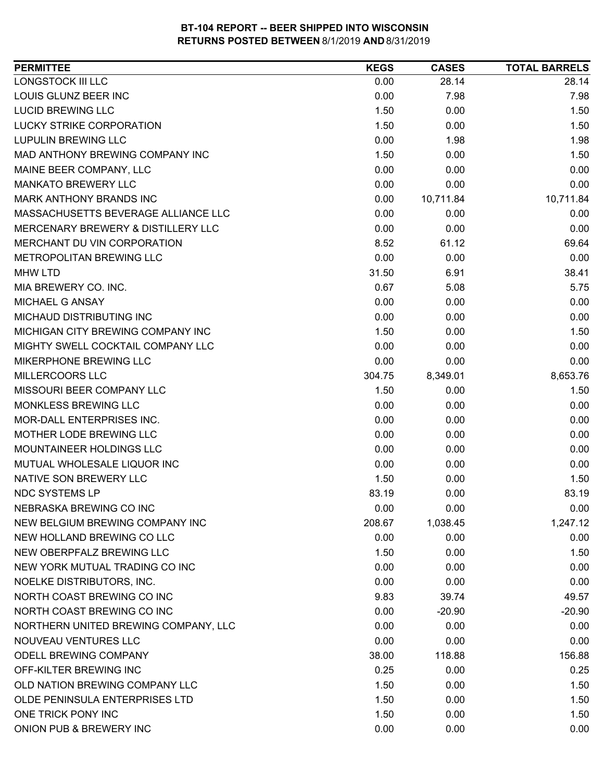| <b>PERMITTEE</b>                     | <b>KEGS</b> | <b>CASES</b> | <b>TOTAL BARRELS</b> |
|--------------------------------------|-------------|--------------|----------------------|
| LONGSTOCK III LLC                    | 0.00        | 28.14        | 28.14                |
| LOUIS GLUNZ BEER INC                 | 0.00        | 7.98         | 7.98                 |
| <b>LUCID BREWING LLC</b>             | 1.50        | 0.00         | 1.50                 |
| LUCKY STRIKE CORPORATION             | 1.50        | 0.00         | 1.50                 |
| <b>LUPULIN BREWING LLC</b>           | 0.00        | 1.98         | 1.98                 |
| MAD ANTHONY BREWING COMPANY INC      | 1.50        | 0.00         | 1.50                 |
| MAINE BEER COMPANY, LLC              | 0.00        | 0.00         | 0.00                 |
| <b>MANKATO BREWERY LLC</b>           | 0.00        | 0.00         | 0.00                 |
| <b>MARK ANTHONY BRANDS INC</b>       | 0.00        | 10,711.84    | 10,711.84            |
| MASSACHUSETTS BEVERAGE ALLIANCE LLC  | 0.00        | 0.00         | 0.00                 |
| MERCENARY BREWERY & DISTILLERY LLC   | 0.00        | 0.00         | 0.00                 |
| MERCHANT DU VIN CORPORATION          | 8.52        | 61.12        | 69.64                |
| METROPOLITAN BREWING LLC             | 0.00        | 0.00         | 0.00                 |
| <b>MHW LTD</b>                       | 31.50       | 6.91         | 38.41                |
| MIA BREWERY CO. INC.                 | 0.67        | 5.08         | 5.75                 |
| MICHAEL G ANSAY                      | 0.00        | 0.00         | 0.00                 |
| MICHAUD DISTRIBUTING INC             | 0.00        | 0.00         | 0.00                 |
| MICHIGAN CITY BREWING COMPANY INC    | 1.50        | 0.00         | 1.50                 |
| MIGHTY SWELL COCKTAIL COMPANY LLC    | 0.00        | 0.00         | 0.00                 |
| MIKERPHONE BREWING LLC               | 0.00        | 0.00         | 0.00                 |
| MILLERCOORS LLC                      | 304.75      | 8,349.01     | 8,653.76             |
| MISSOURI BEER COMPANY LLC            | 1.50        | 0.00         | 1.50                 |
| MONKLESS BREWING LLC                 | 0.00        | 0.00         | 0.00                 |
| MOR-DALL ENTERPRISES INC.            | 0.00        | 0.00         | 0.00                 |
| MOTHER LODE BREWING LLC              | 0.00        | 0.00         | 0.00                 |
| MOUNTAINEER HOLDINGS LLC             | 0.00        | 0.00         | 0.00                 |
| MUTUAL WHOLESALE LIQUOR INC          | 0.00        | 0.00         | 0.00                 |
| NATIVE SON BREWERY LLC               | 1.50        | 0.00         | 1.50                 |
| <b>NDC SYSTEMS LP</b>                | 83.19       | 0.00         | 83.19                |
| NEBRASKA BREWING CO INC              | 0.00        | 0.00         | 0.00                 |
| NEW BELGIUM BREWING COMPANY INC      | 208.67      | 1,038.45     | 1,247.12             |
| NEW HOLLAND BREWING CO LLC           | 0.00        | 0.00         | 0.00                 |
| NEW OBERPFALZ BREWING LLC            | 1.50        | 0.00         | 1.50                 |
| NEW YORK MUTUAL TRADING CO INC       | 0.00        | 0.00         | 0.00                 |
| NOELKE DISTRIBUTORS, INC.            | 0.00        | 0.00         | 0.00                 |
| NORTH COAST BREWING CO INC           | 9.83        | 39.74        | 49.57                |
| NORTH COAST BREWING CO INC           | 0.00        | $-20.90$     | $-20.90$             |
| NORTHERN UNITED BREWING COMPANY, LLC | 0.00        | 0.00         | 0.00                 |
| NOUVEAU VENTURES LLC                 | 0.00        | 0.00         | 0.00                 |
| ODELL BREWING COMPANY                | 38.00       | 118.88       | 156.88               |
| OFF-KILTER BREWING INC               | 0.25        | 0.00         | 0.25                 |
| OLD NATION BREWING COMPANY LLC       | 1.50        | 0.00         | 1.50                 |
| OLDE PENINSULA ENTERPRISES LTD       | 1.50        | 0.00         | 1.50                 |
| ONE TRICK PONY INC                   | 1.50        | 0.00         | 1.50                 |
| ONION PUB & BREWERY INC              | 0.00        | 0.00         | 0.00                 |
|                                      |             |              |                      |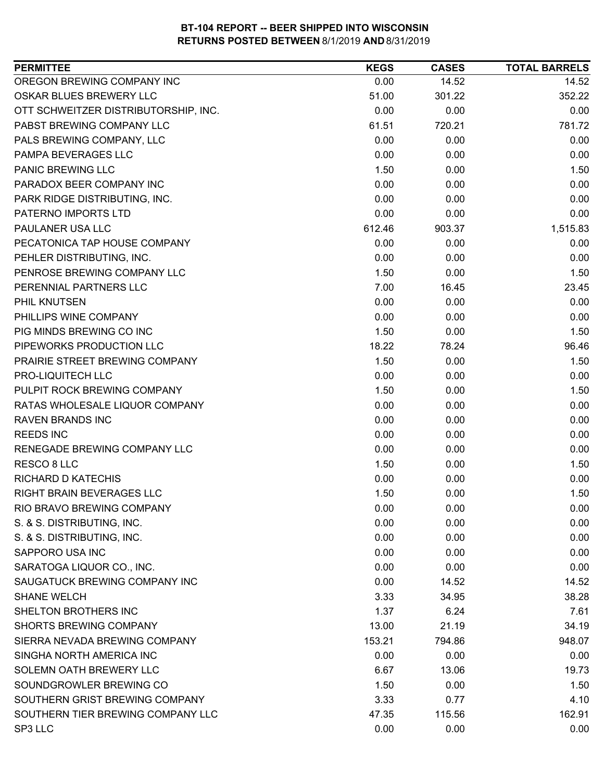| <b>PERMITTEE</b>                     | <b>KEGS</b> | <b>CASES</b> | <b>TOTAL BARRELS</b> |
|--------------------------------------|-------------|--------------|----------------------|
| OREGON BREWING COMPANY INC           | 0.00        | 14.52        | 14.52                |
| OSKAR BLUES BREWERY LLC              | 51.00       | 301.22       | 352.22               |
| OTT SCHWEITZER DISTRIBUTORSHIP, INC. | 0.00        | 0.00         | 0.00                 |
| PABST BREWING COMPANY LLC            | 61.51       | 720.21       | 781.72               |
| PALS BREWING COMPANY, LLC            | 0.00        | 0.00         | 0.00                 |
| PAMPA BEVERAGES LLC                  | 0.00        | 0.00         | 0.00                 |
| <b>PANIC BREWING LLC</b>             | 1.50        | 0.00         | 1.50                 |
| PARADOX BEER COMPANY INC             | 0.00        | 0.00         | 0.00                 |
| PARK RIDGE DISTRIBUTING, INC.        | 0.00        | 0.00         | 0.00                 |
| PATERNO IMPORTS LTD                  | 0.00        | 0.00         | 0.00                 |
| PAULANER USA LLC                     | 612.46      | 903.37       | 1,515.83             |
| PECATONICA TAP HOUSE COMPANY         | 0.00        | 0.00         | 0.00                 |
| PEHLER DISTRIBUTING, INC.            | 0.00        | 0.00         | 0.00                 |
| PENROSE BREWING COMPANY LLC          | 1.50        | 0.00         | 1.50                 |
| PERENNIAL PARTNERS LLC               | 7.00        | 16.45        | 23.45                |
| PHIL KNUTSEN                         | 0.00        | 0.00         | 0.00                 |
| PHILLIPS WINE COMPANY                | 0.00        | 0.00         | 0.00                 |
| PIG MINDS BREWING CO INC             | 1.50        | 0.00         | 1.50                 |
| PIPEWORKS PRODUCTION LLC             | 18.22       | 78.24        | 96.46                |
| PRAIRIE STREET BREWING COMPANY       | 1.50        | 0.00         | 1.50                 |
| PRO-LIQUITECH LLC                    | 0.00        | 0.00         | 0.00                 |
| PULPIT ROCK BREWING COMPANY          | 1.50        | 0.00         | 1.50                 |
| RATAS WHOLESALE LIQUOR COMPANY       | 0.00        | 0.00         | 0.00                 |
| <b>RAVEN BRANDS INC</b>              | 0.00        | 0.00         | 0.00                 |
| <b>REEDS INC</b>                     | 0.00        | 0.00         | 0.00                 |
| RENEGADE BREWING COMPANY LLC         | 0.00        | 0.00         | 0.00                 |
| RESCO 8 LLC                          | 1.50        | 0.00         | 1.50                 |
| <b>RICHARD D KATECHIS</b>            | 0.00        | 0.00         | 0.00                 |
| RIGHT BRAIN BEVERAGES LLC            | 1.50        | 0.00         | 1.50                 |
| RIO BRAVO BREWING COMPANY            | 0.00        | 0.00         | 0.00                 |
| S. & S. DISTRIBUTING, INC.           | 0.00        | 0.00         | 0.00                 |
| S. & S. DISTRIBUTING, INC.           | 0.00        | 0.00         | 0.00                 |
| SAPPORO USA INC                      | 0.00        | 0.00         | 0.00                 |
| SARATOGA LIQUOR CO., INC.            | 0.00        | 0.00         | 0.00                 |
| SAUGATUCK BREWING COMPANY INC        | 0.00        | 14.52        | 14.52                |
| <b>SHANE WELCH</b>                   | 3.33        | 34.95        | 38.28                |
| SHELTON BROTHERS INC                 | 1.37        | 6.24         | 7.61                 |
| <b>SHORTS BREWING COMPANY</b>        | 13.00       | 21.19        | 34.19                |
| SIERRA NEVADA BREWING COMPANY        | 153.21      | 794.86       | 948.07               |
| SINGHA NORTH AMERICA INC             | 0.00        | 0.00         | 0.00                 |
| SOLEMN OATH BREWERY LLC              | 6.67        | 13.06        | 19.73                |
| SOUNDGROWLER BREWING CO              | 1.50        | 0.00         | 1.50                 |
| SOUTHERN GRIST BREWING COMPANY       | 3.33        | 0.77         | 4.10                 |
| SOUTHERN TIER BREWING COMPANY LLC    | 47.35       | 115.56       | 162.91               |
| SP3 LLC                              | 0.00        | 0.00         | 0.00                 |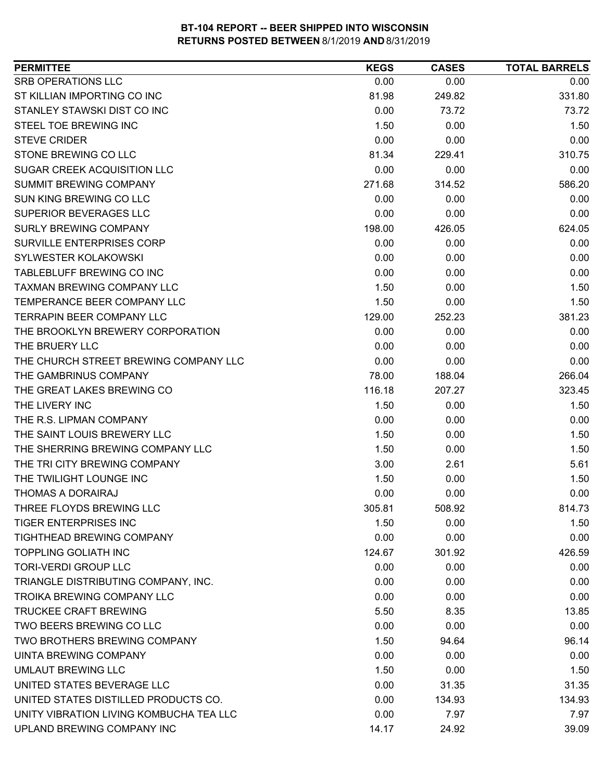| <b>PERMITTEE</b>                        | <b>KEGS</b> | <b>CASES</b> | <b>TOTAL BARRELS</b> |
|-----------------------------------------|-------------|--------------|----------------------|
| <b>SRB OPERATIONS LLC</b>               | 0.00        | 0.00         | 0.00                 |
| ST KILLIAN IMPORTING CO INC             | 81.98       | 249.82       | 331.80               |
| STANLEY STAWSKI DIST CO INC             | 0.00        | 73.72        | 73.72                |
| STEEL TOE BREWING INC                   | 1.50        | 0.00         | 1.50                 |
| <b>STEVE CRIDER</b>                     | 0.00        | 0.00         | 0.00                 |
| STONE BREWING CO LLC                    | 81.34       | 229.41       | 310.75               |
| SUGAR CREEK ACQUISITION LLC             | 0.00        | 0.00         | 0.00                 |
| SUMMIT BREWING COMPANY                  | 271.68      | 314.52       | 586.20               |
| <b>SUN KING BREWING CO LLC</b>          | 0.00        | 0.00         | 0.00                 |
| <b>SUPERIOR BEVERAGES LLC</b>           | 0.00        | 0.00         | 0.00                 |
| SURLY BREWING COMPANY                   | 198.00      | 426.05       | 624.05               |
| SURVILLE ENTERPRISES CORP               | 0.00        | 0.00         | 0.00                 |
| SYLWESTER KOLAKOWSKI                    | 0.00        | 0.00         | 0.00                 |
| TABLEBLUFF BREWING CO INC               | 0.00        | 0.00         | 0.00                 |
| <b>TAXMAN BREWING COMPANY LLC</b>       | 1.50        | 0.00         | 1.50                 |
| TEMPERANCE BEER COMPANY LLC             | 1.50        | 0.00         | 1.50                 |
| TERRAPIN BEER COMPANY LLC               | 129.00      | 252.23       | 381.23               |
| THE BROOKLYN BREWERY CORPORATION        | 0.00        | 0.00         | 0.00                 |
| THE BRUERY LLC                          | 0.00        | 0.00         | 0.00                 |
| THE CHURCH STREET BREWING COMPANY LLC   | 0.00        | 0.00         | 0.00                 |
| THE GAMBRINUS COMPANY                   | 78.00       | 188.04       | 266.04               |
| THE GREAT LAKES BREWING CO              | 116.18      | 207.27       | 323.45               |
| THE LIVERY INC                          | 1.50        | 0.00         | 1.50                 |
| THE R.S. LIPMAN COMPANY                 | 0.00        | 0.00         | 0.00                 |
| THE SAINT LOUIS BREWERY LLC             | 1.50        | 0.00         | 1.50                 |
| THE SHERRING BREWING COMPANY LLC        | 1.50        | 0.00         | 1.50                 |
| THE TRI CITY BREWING COMPANY            | 3.00        | 2.61         | 5.61                 |
| THE TWILIGHT LOUNGE INC                 | 1.50        | 0.00         | 1.50                 |
| <b>THOMAS A DORAIRAJ</b>                | 0.00        | 0.00         | 0.00                 |
| THREE FLOYDS BREWING LLC                | 305.81      | 508.92       | 814.73               |
| <b>TIGER ENTERPRISES INC</b>            | 1.50        | 0.00         | 1.50                 |
| TIGHTHEAD BREWING COMPANY               | 0.00        | 0.00         | 0.00                 |
| <b>TOPPLING GOLIATH INC</b>             | 124.67      | 301.92       | 426.59               |
| <b>TORI-VERDI GROUP LLC</b>             | 0.00        | 0.00         | 0.00                 |
| TRIANGLE DISTRIBUTING COMPANY, INC.     | 0.00        | 0.00         | 0.00                 |
| TROIKA BREWING COMPANY LLC              | 0.00        | 0.00         | 0.00                 |
| <b>TRUCKEE CRAFT BREWING</b>            | 5.50        | 8.35         | 13.85                |
| TWO BEERS BREWING CO LLC                | 0.00        | 0.00         | 0.00                 |
| TWO BROTHERS BREWING COMPANY            | 1.50        | 94.64        | 96.14                |
| UINTA BREWING COMPANY                   | 0.00        | 0.00         | 0.00                 |
| <b>UMLAUT BREWING LLC</b>               | 1.50        | 0.00         | 1.50                 |
| UNITED STATES BEVERAGE LLC              | 0.00        | 31.35        | 31.35                |
| UNITED STATES DISTILLED PRODUCTS CO.    | 0.00        | 134.93       | 134.93               |
| UNITY VIBRATION LIVING KOMBUCHA TEA LLC | 0.00        | 7.97         | 7.97                 |
| UPLAND BREWING COMPANY INC              | 14.17       | 24.92        | 39.09                |